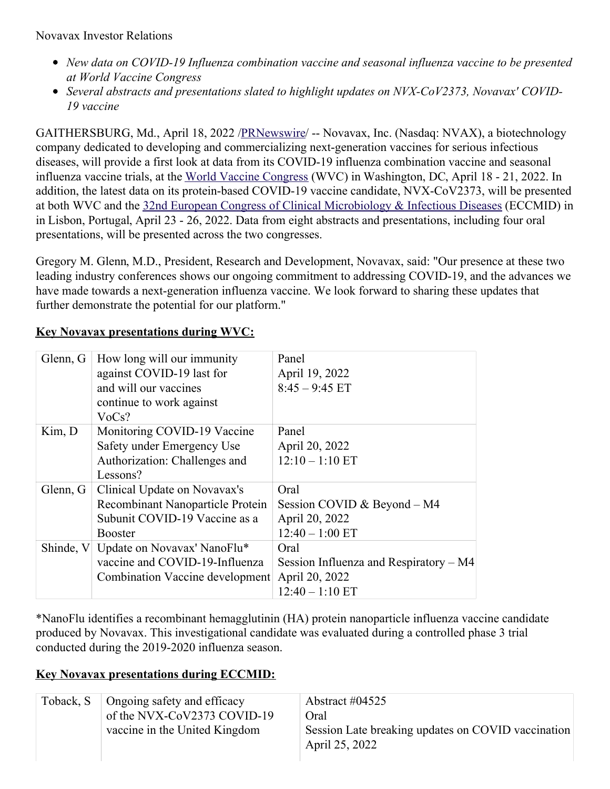- *New data on COVID-19 Influenza combination vaccine and seasonal influenza vaccine to be presented at World Vaccine Congress*
- *Several abstracts and presentations slated to highlight updates on NVX-CoV2373, Novavax' COVID-19 vaccine*

GAITHERSBURG, Md., April 18, 2022 [/PRNewswire](http://www.prnewswire.com/)/ -- Novavax, Inc. (Nasdaq: NVAX), a biotechnology company dedicated to developing and commercializing next-generation vaccines for serious infectious diseases, will provide a first look at data from its COVID-19 influenza combination vaccine and seasonal influenza vaccine trials, at the World Vaccine [Congress](https://c212.net/c/link/?t=0&l=en&o=3507542-1&h=1840594479&u=https%3A%2F%2Fwww.terrapinn.com%2Fconference%2Fworld-vaccine-congress-washington%2Findex.stm&a=World+Vaccine+Congress) (WVC) in Washington, DC, April 18 - 21, 2022. In addition, the latest data on its protein-based COVID-19 vaccine candidate, NVX-CoV2373, will be presented at both WVC and the 32nd European Congress of Clinical [Microbiology](https://c212.net/c/link/?t=0&l=en&o=3507542-1&h=1505958255&u=https%3A%2F%2Fwww.eccmid.org%2F&a=32nd+European+Congress+of+Clinical+Microbiology+%26+Infectious+Diseases) & Infectious Diseases (ECCMID) in in Lisbon, Portugal, April 23 - 26, 2022. Data from eight abstracts and presentations, including four oral presentations, will be presented across the two congresses.

Gregory M. Glenn, M.D., President, Research and Development, Novavax, said: "Our presence at these two leading industry conferences shows our ongoing commitment to addressing COVID-19, and the advances we have made towards a next-generation influenza vaccine. We look forward to sharing these updates that further demonstrate the potential for our platform."

| Glenn, G | How long will our immunity            | Panel                                    |
|----------|---------------------------------------|------------------------------------------|
|          | against COVID-19 last for             | April 19, 2022                           |
|          | and will our vaccines                 | $8:45 - 9:45$ ET                         |
|          | continue to work against              |                                          |
|          | VoCs?                                 |                                          |
| Kim, D   | Monitoring COVID-19 Vaccine           | Panel                                    |
|          | Safety under Emergency Use            | April 20, 2022                           |
|          | Authorization: Challenges and         | $12:10 - 1:10$ ET                        |
|          | Lessons?                              |                                          |
| Glenn, G | Clinical Update on Novavax's          | Oral                                     |
|          | Recombinant Nanoparticle Protein      | Session COVID & Beyond $- M4$            |
|          | Subunit COVID-19 Vaccine as a         | April 20, 2022                           |
|          | Booster                               | $12:40 - 1:00$ ET                        |
|          | Shinde, V Update on Novavax' NanoFlu* | Oral                                     |
|          | vaccine and COVID-19-Influenza        | Session Influenza and Respiratory $- M4$ |
|          | Combination Vaccine development       | April 20, 2022                           |
|          |                                       | $12:40 - 1:10$ ET                        |

## **Key Novavax presentations during WVC:**

\*NanoFlu identifies a recombinant hemagglutinin (HA) protein nanoparticle influenza vaccine candidate produced by Novavax. This investigational candidate was evaluated during a controlled phase 3 trial conducted during the 2019-2020 influenza season.

## **Key Novavax presentations during ECCMID:**

| Toback, S | Ongoing safety and efficacy<br>of the NVX-CoV2373 COVID-19<br>vaccine in the United Kingdom | Abstract $\#04525$<br>Oral<br>Session Late breaking updates on COVID vaccination<br>April 25, 2022 |
|-----------|---------------------------------------------------------------------------------------------|----------------------------------------------------------------------------------------------------|
|           |                                                                                             |                                                                                                    |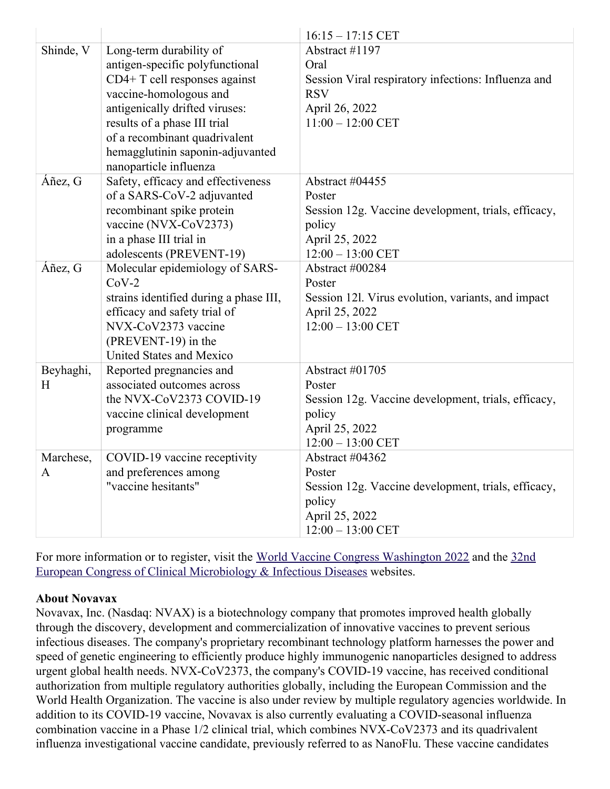|           |                                        | $16:15 - 17:15$ CET                                 |
|-----------|----------------------------------------|-----------------------------------------------------|
| Shinde, V | Long-term durability of                | Abstract #1197                                      |
|           | antigen-specific polyfunctional        | Oral                                                |
|           | CD4+ T cell responses against          | Session Viral respiratory infections: Influenza and |
|           | vaccine-homologous and                 | <b>RSV</b>                                          |
|           | antigenically drifted viruses:         | April 26, 2022                                      |
|           | results of a phase III trial           | $11:00 - 12:00$ CET                                 |
|           | of a recombinant quadrivalent          |                                                     |
|           | hemagglutinin saponin-adjuvanted       |                                                     |
|           | nanoparticle influenza                 |                                                     |
| Áñez, G   | Safety, efficacy and effectiveness     | Abstract #04455                                     |
|           | of a SARS-CoV-2 adjuvanted             | Poster                                              |
|           | recombinant spike protein              | Session 12g. Vaccine development, trials, efficacy, |
|           | vaccine (NVX-CoV2373)                  | policy                                              |
|           | in a phase III trial in                | April 25, 2022                                      |
|           | adolescents (PREVENT-19)               | $12:00 - 13:00$ CET                                 |
| Áñez, G   | Molecular epidemiology of SARS-        | Abstract #00284                                     |
|           | $CoV-2$                                | Poster                                              |
|           | strains identified during a phase III, | Session 121. Virus evolution, variants, and impact  |
|           | efficacy and safety trial of           | April 25, 2022                                      |
|           | NVX-CoV2373 vaccine                    | $12:00 - 13:00$ CET                                 |
|           | (PREVENT-19) in the                    |                                                     |
|           | United States and Mexico               |                                                     |
| Beyhaghi, | Reported pregnancies and               | Abstract #01705                                     |
| H         | associated outcomes across             | Poster                                              |
|           | the NVX-CoV2373 COVID-19               | Session 12g. Vaccine development, trials, efficacy, |
|           | vaccine clinical development           | policy                                              |
|           | programme                              | April 25, 2022                                      |
|           |                                        | $12:00 - 13:00$ CET                                 |
| Marchese, | COVID-19 vaccine receptivity           | Abstract #04362                                     |
| A         | and preferences among                  | Poster                                              |
|           | "vaccine hesitants"                    | Session 12g. Vaccine development, trials, efficacy, |
|           |                                        | policy                                              |
|           |                                        | April 25, 2022                                      |
|           |                                        | $12:00 - 13:00$ CET                                 |

For more information or to register, visit the World Vaccine Congress [Washington](https://c212.net/c/link/?t=0&l=en&o=3507542-1&h=3395465361&u=https%3A%2F%2Fwww.terrapinn.com%2Fconference%2Fworld-vaccine-congress-washington%2Findex.stm&a=World+Vaccine+Congress+Washington+2022) 2022 and the 32nd European Congress of Clinical [Microbiology](https://c212.net/c/link/?t=0&l=en&o=3507542-1&h=1505958255&u=https%3A%2F%2Fwww.eccmid.org%2F&a=32nd+European+Congress+of+Clinical+Microbiology+%26+Infectious+Diseases) & Infectious Diseases websites.

## **About Novavax**

Novavax, Inc. (Nasdaq: NVAX) is a biotechnology company that promotes improved health globally through the discovery, development and commercialization of innovative vaccines to prevent serious infectious diseases. The company's proprietary recombinant technology platform harnesses the power and speed of genetic engineering to efficiently produce highly immunogenic nanoparticles designed to address urgent global health needs. NVX-CoV2373, the company's COVID-19 vaccine, has received conditional authorization from multiple regulatory authorities globally, including the European Commission and the World Health Organization. The vaccine is also under review by multiple regulatory agencies worldwide. In addition to its COVID-19 vaccine, Novavax is also currently evaluating a COVID-seasonal influenza combination vaccine in a Phase 1/2 clinical trial, which combines NVX-CoV2373 and its quadrivalent influenza investigational vaccine candidate, previously referred to as NanoFlu. These vaccine candidates